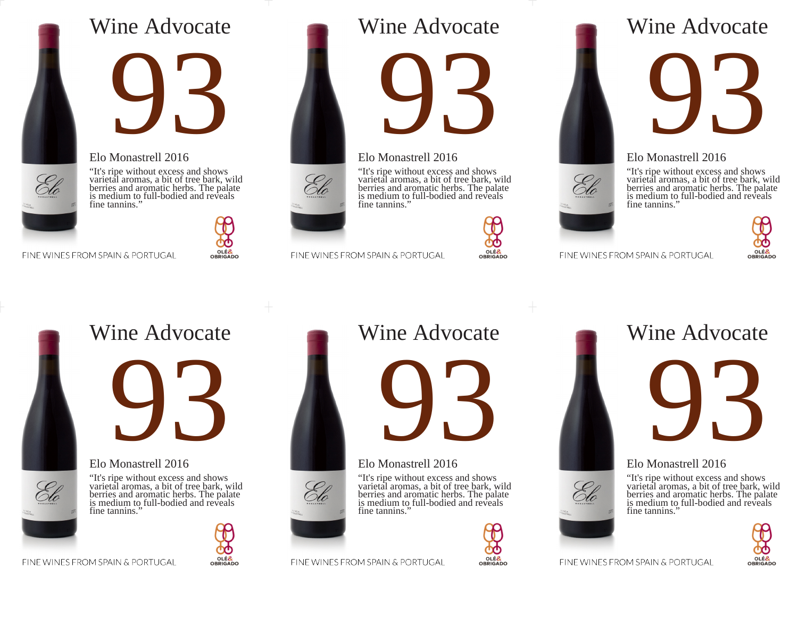# Wine Advocate





## Elo Monastrell 2016

"It's ripe without excess and shows varietal aromas, a bit of tree bark, wild berries and aromatic herbs. The palate is medium to full-bodied and reveals fine tannins."

#### FINE WINES FROM SPAIN & PORTUGAL



# Wine Advocate



## Elo Monastrell 2016

"It's ripe without excess and shows varietal aromas, a bit of tree bark, wild berries and aromatic herbs. The palate is medium to full-bodied and reveals fine tannins."



OLÉ&<br>OBRIGADO

FINE WINES FROM SPAIN & PORTUGAL

# Wine Advocate

**93** 

## Elo Monastrell 2016

"It's ripe without excess and shows varietal aromas, a bit of tree bark, wild berries and aromatic herbs. The palate is medium to full-bodied and reveals fine tannins."



#### FINE WINES FROM SPAIN & PORTUGAL



# Wine Advocate



## Elo Monastrell 2016

"It's ripe without excess and shows varietal aromas, a bit of tree bark, wild berries and aromatic herbs. The palate is medium to full-bodied and reveals fine tannins.'

OLÉ&<br>OBRIGADO

# Wine Advocate



## Elo Monastrell 2016

"It's ripe without excess and shows varietal aromas, a bit of tree bark, wild berries and aromatic herbs. The palate is medium to full-bodied and reveals fine tannins."



# Wine Advocate **93**

## Elo Monastrell 2016





FINE WINES FROM SPAIN & PORTUGAL





FINE WINES FROM SPAIN & PORTUGAL